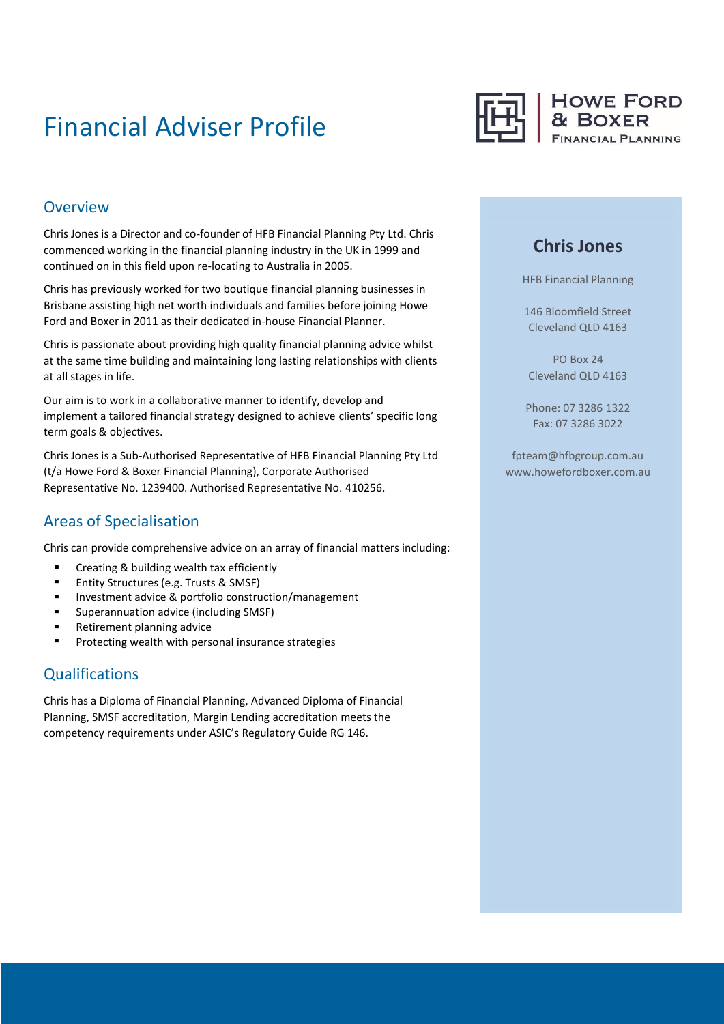# Financial Adviser Profile



#### Overview

Chris Jones is a Director and co-founder of HFB Financial Planning Pty Ltd. Chris commenced working in the financial planning industry in the UK in 1999 and continued on in this field upon re-locating to Australia in 2005.

Chris has previously worked for two boutique financial planning businesses in Brisbane assisting high net worth individuals and families before joining Howe Ford and Boxer in 2011 as their dedicated in-house Financial Planner.

Chris is passionate about providing high quality financial planning advice whilst at the same time building and maintaining long lasting relationships with clients at all stages in life.

Our aim is to work in a collaborative manner to identify, develop and implement a tailored financial strategy designed to achieve clients' specific long term goals & objectives.

Chris Jones is a Sub-Authorised Representative of HFB Financial Planning Pty Ltd (t/a Howe Ford & Boxer Financial Planning), Corporate Authorised Representative No. 1239400. Authorised Representative No. 410256.

## Areas of Specialisation

Chris can provide comprehensive advice on an array of financial matters including:

- **EXECT** Creating & building wealth tax efficiently
- **Entity Structures (e.g. Trusts & SMSF)**
- **Investment advice & portfolio construction/management**
- **Superannuation advice (including SMSF)**
- Retirement planning advice
- **Protecting wealth with personal insurance strategies**

## **Qualifications**

Chris has a Diploma of Financial Planning, Advanced Diploma of Financial Planning, SMSF accreditation, Margin Lending accreditation meets the competency requirements under ASIC's Regulatory Guide RG 146.

## **Chris Jones**

HFB Financial Planning

146 Bloomfield Street Cleveland QLD 4163

PO Box 24 Cleveland QLD 4163

Phone: 07 3286 1322 Fax: 07 3286 3022

fpteam@hfbgroup.com.au www.howefordboxer.com.au